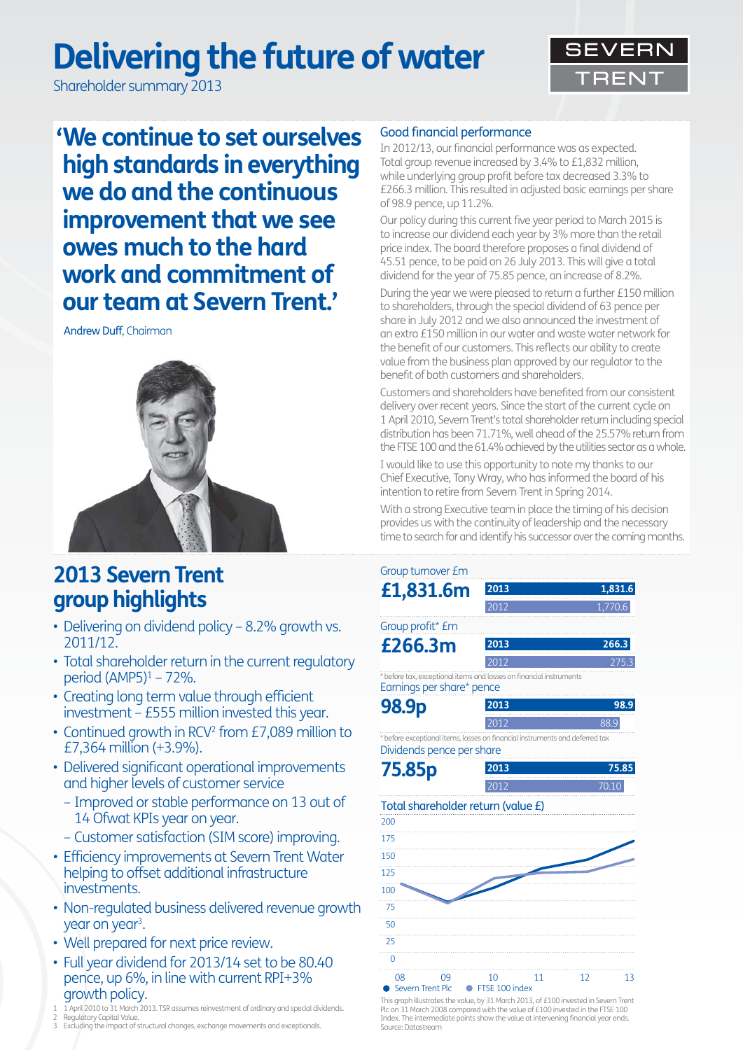# **Delivering the future of water**

Shareholder summary 2013



**' We continue to set ourselves high standards in everything we do and the continuous improvement that we see owes much to the hard work and commitment of our team at Severn Trent.'**

Andrew Duff, Chairman



# **2013 Severn Trent group highlights**

- Delivering on dividend policy 8.2% growth vs. 2011/12.
- Total shareholder return in the current regulatory period (AMP5)1 – 72%.
- Creating long term value through efficient investment – £555 million invested this year.
- Continued growth in RCV<sup>2</sup> from £7,089 million to £7,364 million (+3.9%).
- Delivered significant operational improvements and higher levels of customer service
	- Improved or stable performance on 13 out of 14 Ofwat KPIs year on year.
	- Customer satisfaction (SIM score) improving.
- Efficiency improvements at Severn Trent Water helping to offset additional infrastructure investments.
- Non-regulated business delivered revenue growth year on year<sup>3</sup>.
- Well prepared for next price review.
- Full year dividend for 2013/14 set to be 80.40 pence, up 6%, in line with current RPI+3% growth policy.
- 1 1 April 2010 to 31 March 2013. TSR assumes reinvestment of ordinary and special dividends.
- 2 Regulatory Capital Value. 3 Excluding the impact of structural changes, exchange movements and exceptionals.

### Good financial performance

In 2012/13, our financial performance was as expected. Total group revenue increased by 3.4% to £1,832 million, while underlying group profit before tax decreased 3.3% to £266.3 million. This resulted in adjusted basic earnings per share of 98.9 pence, up 11.2%.

Our policy during this current five year period to March 2015 is to increase our dividend each year by 3% more than the retail price index. The board therefore proposes a final dividend of 45.51 pence, to be paid on 26 July 2013. This will give a total dividend for the year of 75.85 pence, an increase of 8.2%.

During the year we were pleased to return a further £150 million to shareholders, through the special dividend of 63 pence per share in July 2012 and we also announced the investment of an extra £150 million in our water and waste water network for the benefit of our customers. This reflects our ability to create value from the business plan approved by our regulator to the benefit of both customers and shareholders.

Customers and shareholders have benefited from our consistent delivery over recent years. Since the start of the current cycle on 1 April 2010, Severn Trent's total shareholder return including special distribution has been 71.71%, well ahead of the 25.57% return from the FTSE 100 and the 61.4% achieved by the utilities sector as a whole.

I would like to use this opportunity to note my thanks to our Chief Executive, Tony Wray, who has informed the board of his intention to retire from Severn Trent in Spring 2014.

With a strong Executive team in place the timing of his decision provides us with the continuity of leadership and the necessary time to search for and identify his successor over the coming months.

### Total shareholder return (value £) 08 09 10 11 12 13 175 150 125 100 75 50 25  $\overline{0}$  $200$ ● Severn Trent Plc ● FTSE 100 index Group turnover £m **£1,831.6m <sup>2013</sup> <b>1,831.6 1,831.6 1,770.6** 1,770.6 **2013** Group profit\* £m **£266.3m 266.3** 2012 275.3 **2013** Dividends pence per share **75.85p 75.85** 2012 70.10 **2013** Earnings per share\* pence **98.9p 2013 98.9 98.9 98.9** 2012 88.9 **2013** \* before tax, exceptional items and losses on financial instruments \* before exceptional items, losses on financial instruments and deferred tax

This graph illustrates the value, by 31 March 2013, of £100 invested in Severn Trent Plc on 31 March 2008 compared with the value of £100 invested in the FTSE 100 Index. The intermediate points show the value at intervening financial year ends. Source: Datastream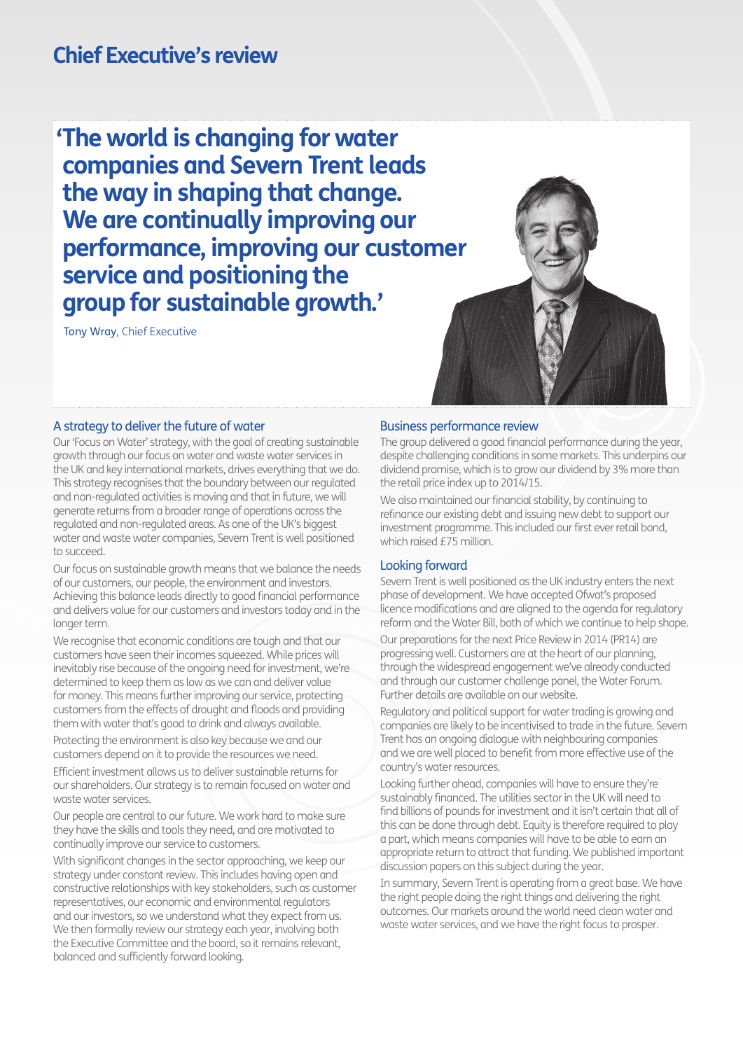# **Chief Executive's review**

**'The world is changing for water companies and Severn Trent leads the way in shaping that change. We are continually improving our performance, improving our customer service and positioning the group for sustainable growth.'**

Tony Wray, Chief Executive



#### A strategy to deliver the future of water

Our 'Focus on Water' strategy, with the goal of creating sustainable growth through our focus on water and waste water services in the UK and key international markets, drives everything that we do. This strategy recognises that the boundary between our regulated and non-regulated activities is moving and that in future, we will generate returns from a broader range of operations across the regulated and non-regulated areas. As one of the UK's biggest water and waste water companies, Severn Trent is well positioned to succeed.

Our focus on sustainable growth means that we balance the needs of our customers, our people, the environment and investors. Achieving this balance leads directly to good financial performance and delivers value for our customers and investors today and in the longer term.

We recognise that economic conditions are tough and that our customers have seen their incomes squeezed. While prices will inevitably rise because of the ongoing need for investment, we're determined to keep them as low as we can and deliver value for money. This means further improving our service, protecting customers from the effects of drought and floods and providing them with water that's good to drink and always available.

Protecting the environment is also key because we and our customers depend on it to provide the resources we need.

Efficient investment allows us to deliver sustainable returns for our shareholders. Our strategy is to remain focused on water and waste water services.

Our people are central to our future. We work hard to make sure they have the skills and tools they need, and are motivated to continually improve our service to customers.

With significant changes in the sector approaching, we keep our strategy under constant review. This includes having open and constructive relationships with key stakeholders, such as customer representatives, our economic and environmental regulators and our investors, so we understand what they expect from us. We then formally review our strategy each year, involving both the Executive Committee and the board, so it remains relevant, balanced and sufficiently forward looking.

#### Business performance review

The aroup delivered a good financial performance during the year, despite challenging conditions in some markets. This underpins our dividend promise, which is to grow our dividend by 3% more than the retail price index up to 2014/15.

We also maintained our financial stability, by continuing to refinance our existing debt and issuing new debt to support our investment programme. This included our first ever retail bond, which raised £75 million.

#### Looking forward

Severn Trent is well positioned as the UK industry enters the next phase of development. We have accepted Ofwat's proposed licence modifications and are aligned to the agenda for regulatory reform and the Water Bill, both of which we continue to help shape.

Our preparations for the next Price Review in 2014 (PR14) are progressing well. Customers are at the heart of our planning, through the widespread engagement we've already conducted and through our customer challenge panel, the Water Forum. Further details are available on our website.

Regulatory and political support for water trading is growing and companies are likely to be incentivised to trade in the future. Severn Trent has an ongoing dialogue with neighbouring companies and we are well placed to benefit from more effective use of the country's water resources.

Looking further ahead, companies will have to ensure they're sustainably financed. The utilities sector in the UK will need to find billions of pounds for investment and it isn't certain that all of this can be done through debt. Equity is therefore required to play a part, which means companies will have to be able to earn an appropriate return to attract that funding. We published important discussion papers on this subject during the year.

In summary, Severn Trent is operating from a great base. We have the right people doing the right things and delivering the right outcomes. Our markets around the world need clean water and waste water services, and we have the right focus to prosper.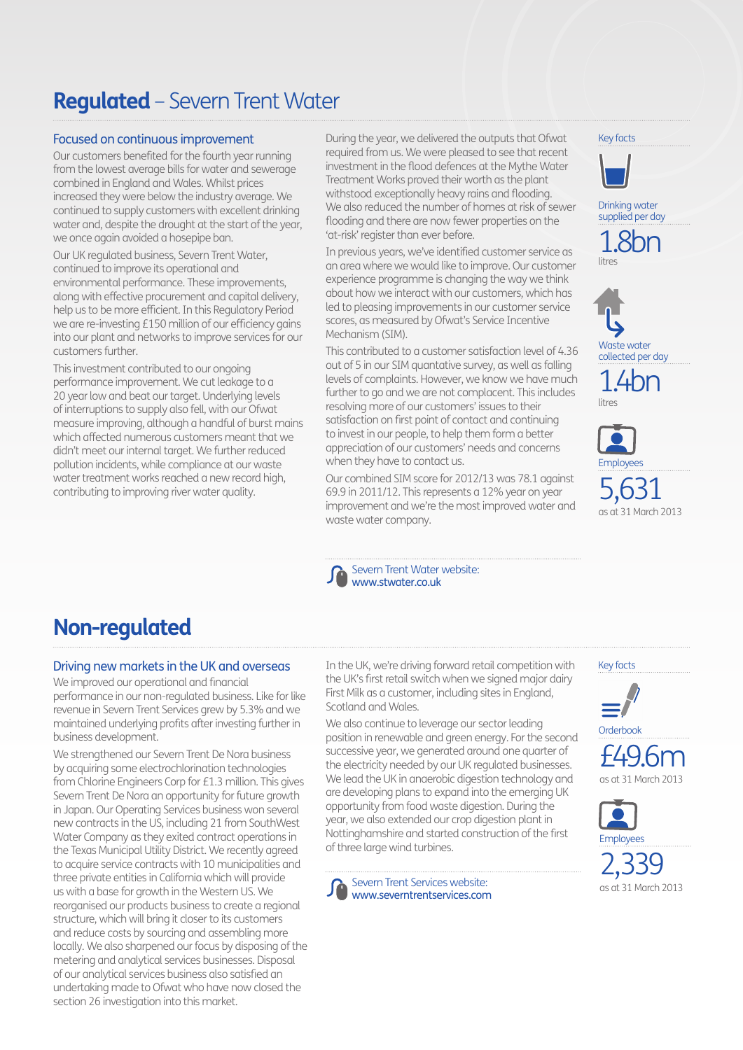# **Regulated** – Severn Trent Water

### Focused on continuous improvement

Our customers benefited for the fourth year running from the lowest average bills for water and sewerage combined in England and Wales. Whilst prices increased they were below the industry average. We continued to supply customers with excellent drinking water and, despite the drought at the start of the year, we once again avoided a hosepipe ban.

Our UK regulated business, Severn Trent Water, continued to improve its operational and environmental performance. These improvements, along with effective procurement and capital delivery, help us to be more efficient. In this Regulatory Period we are re-investing £150 million of our efficiency gains into our plant and networks to improve services for our customers further.

This investment contributed to our ongoing performance improvement. We cut leakage to a 20 year low and beat our target. Underlying levels of interruptions to supply also fell, with our Ofwat measure improving, although a handful of burst mains which affected numerous customers meant that we didn't meet our internal target. We further reduced pollution incidents, while compliance at our waste water treatment works reached a new record high, contributing to improving river water quality.

During the year, we delivered the outputs that Ofwat required from us. We were pleased to see that recent investment in the flood defences at the Mythe Water Treatment Works proved their worth as the plant withstood exceptionally heavy rains and flooding. We also reduced the number of homes at risk of sewer flooding and there are now fewer properties on the 'at-risk' register than ever before.

In previous years, we've identified customer service as an area where we would like to improve. Our customer experience programme is changing the way we think about how we interact with our customers, which has led to pleasing improvements in our customer service scores, as measured by Ofwat's Service Incentive Mechanism (SIM).

This contributed to a customer satisfaction level of 4.36 out of 5 in our SIM quantative survey, as well as falling levels of complaints. However, we know we have much further to go and we are not complacent. This includes resolving more of our customers' issues to their satisfaction on first point of contact and continuing to invest in our people, to help them form a better appreciation of our customers' needs and concerns when they have to contact us.

Our combined SIM score for 2012/13 was 78.1 against 69.9 in 2011/12. This represents a 12% year on year improvement and we're the most improved water and waste water company.

Severn Trent Water website: www.stwater.co.uk













5,631 as at 31 March 2013

# **Non-regulated**

### Driving new markets in the UK and overseas

We improved our operational and financial performance in our non-regulated business. Like for like revenue in Severn Trent Services grew by 5.3% and we maintained underlying profits after investing further in business development.

We strengthened our Severn Trent De Nora business by acquiring some electrochlorination technologies from Chlorine Engineers Corp for £1.3 million. This gives Severn Trent De Nora an opportunity for future growth in Japan. Our Operating Services business won several new contracts in the US, including 21 from SouthWest Water Company as they exited contract operations in the Texas Municipal Utility District. We recently agreed to acquire service contracts with 10 municipalities and three private entities in California which will provide us with a base for growth in the Western US. We reorganised our products business to create a regional structure, which will bring it closer to its customers and reduce costs by sourcing and assembling more locally. We also sharpened our focus by disposing of the metering and analytical services businesses. Disposal of our analytical services business also satisfied an undertaking made to Ofwat who have now closed the section 26 investigation into this market.

In the UK, we're driving forward retail competition with the UK's first retail switch when we signed major dairy First Milk as a customer, including sites in England, Scotland and Wales.

We also continue to leverage our sector leading position in renewable and green energy. For the second successive year, we generated around one quarter of the electricity needed by our UK regulated businesses. We lead the UK in anaerobic digestion technology and are developing plans to expand into the emerging UK opportunity from food waste digestion. During the year, we also extended our crop digestion plant in Nottinghamshire and started construction of the first of three large wind turbines.

Severn Trent Services website: www.severntrentservices.com